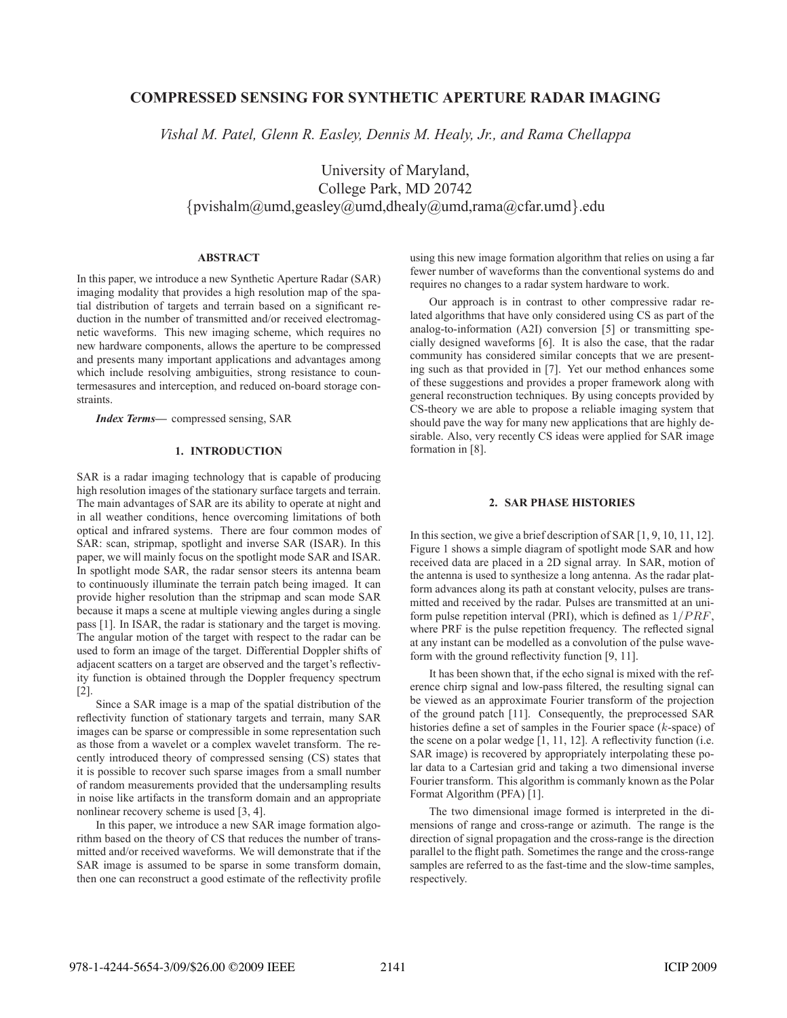# **COMPRESSED SENSING FOR SYNTHETIC APERTURE RADAR IMAGING**

*Vishal M. Patel, Glenn R. Easley, Dennis M. Healy, Jr., and Rama Chellappa*

University of Maryland, College Park, MD 20742 {pvishalm@umd,geasley@umd,dhealy@umd,rama@cfar.umd}.edu

### **ABSTRACT**

In this paper, we introduce a new Synthetic Aperture Radar (SAR) imaging modality that provides a high resolution map of the spatial distribution of targets and terrain based on a significant reduction in the number of transmitted and/or received electromagnetic waveforms. This new imaging scheme, which requires no new hardware components, allows the aperture to be compressed and presents many important applications and advantages among which include resolving ambiguities, strong resistance to countermesasures and interception, and reduced on-board storage constraints.

*Index Terms***—** compressed sensing, SAR

## **1. INTRODUCTION**

SAR is a radar imaging technology that is capable of producing high resolution images of the stationary surface targets and terrain. The main advantages of SAR are its ability to operate at night and in all weather conditions, hence overcoming limitations of both optical and infrared systems. There are four common modes of SAR: scan, stripmap, spotlight and inverse SAR (ISAR). In this paper, we will mainly focus on the spotlight mode SAR and ISAR. In spotlight mode SAR, the radar sensor steers its antenna beam to continuously illuminate the terrain patch being imaged. It can provide higher resolution than the stripmap and scan mode SAR because it maps a scene at multiple viewing angles during a single pass [1]. In ISAR, the radar is stationary and the target is moving. The angular motion of the target with respect to the radar can be used to form an image of the target. Differential Doppler shifts of adjacent scatters on a target are observed and the target's reflectivity function is obtained through the Doppler frequency spectrum [2].

Since a SAR image is a map of the spatial distribution of the reflectivity function of stationary targets and terrain, many SAR images can be sparse or compressible in some representation such as those from a wavelet or a complex wavelet transform. The recently introduced theory of compressed sensing (CS) states that it is possible to recover such sparse images from a small number of random measurements provided that the undersampling results in noise like artifacts in the transform domain and an appropriate nonlinear recovery scheme is used [3, 4].

In this paper, we introduce a new SAR image formation algorithm based on the theory of CS that reduces the number of transmitted and/or received waveforms. We will demonstrate that if the SAR image is assumed to be sparse in some transform domain, then one can reconstruct a good estimate of the reflectivity profile using this new image formation algorithm that relies on using a far fewer number of waveforms than the conventional systems do and requires no changes to a radar system hardware to work.

Our approach is in contrast to other compressive radar related algorithms that have only considered using CS as part of the analog-to-information (A2I) conversion [5] or transmitting specially designed waveforms [6]. It is also the case, that the radar community has considered similar concepts that we are presenting such as that provided in [7]. Yet our method enhances some of these suggestions and provides a proper framework along with general reconstruction techniques. By using concepts provided by CS-theory we are able to propose a reliable imaging system that should pave the way for many new applications that are highly desirable. Also, very recently CS ideas were applied for SAR image formation in [8].

## **2. SAR PHASE HISTORIES**

In this section, we give a brief description of SAR [1, 9, 10, 11, 12]. Figure 1 shows a simple diagram of spotlight mode SAR and how received data are placed in a 2D signal array. In SAR, motion of the antenna is used to synthesize a long antenna. As the radar platform advances along its path at constant velocity, pulses are transmitted and received by the radar. Pulses are transmitted at an uniform pulse repetition interval (PRI), which is defined as  $1/PRF$ , where PRF is the pulse repetition frequency. The reflected signal at any instant can be modelled as a convolution of the pulse waveform with the ground reflectivity function [9, 11].

It has been shown that, if the echo signal is mixed with the reference chirp signal and low-pass filtered, the resulting signal can be viewed as an approximate Fourier transform of the projection of the ground patch [11]. Consequently, the preprocessed SAR histories define a set of samples in the Fourier space (k-space) of the scene on a polar wedge  $\overline{[1, 11, 12]}$ . A reflectivity function (i.e. SAR image) is recovered by appropriately interpolating these polar data to a Cartesian grid and taking a two dimensional inverse Fourier transform. This algorithm is commanly known as the Polar Format Algorithm (PFA) [1].

The two dimensional image formed is interpreted in the dimensions of range and cross-range or azimuth. The range is the direction of signal propagation and the cross-range is the direction parallel to the flight path. Sometimes the range and the cross-range samples are referred to as the fast-time and the slow-time samples, respectively.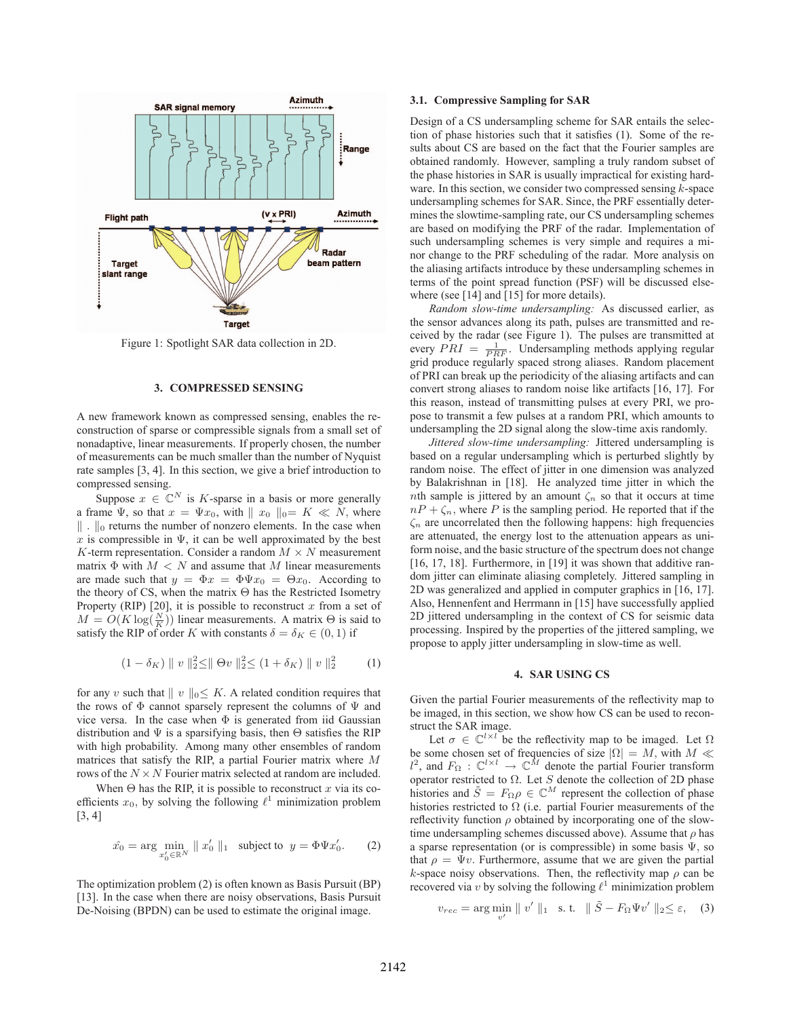

Figure 1: Spotlight SAR data collection in 2D.

## **3. COMPRESSED SENSING**

A new framework known as compressed sensing, enables the reconstruction of sparse or compressible signals from a small set of nonadaptive, linear measurements. If properly chosen, the number of measurements can be much smaller than the number of Nyquist rate samples [3, 4]. In this section, we give a brief introduction to compressed sensing.

Suppose  $x \in \mathbb{C}^N$  is K-sparse in a basis or more generally a frame  $\Psi$ , so that  $x = \Psi x_0$ , with  $|| x_0 ||_{0} = K \ll N$ , where  $\|\cdot\|_0$  returns the number of nonzero elements. In the case when x is compressible in  $\Psi$ , it can be well approximated by the best K-term representation. Consider a random  $M \times N$  measurement matrix  $\Phi$  with  $M < N$  and assume that M linear measurements are made such that  $y = \Phi x = \Phi \Psi x_0 = \Theta x_0$ . According to the theory of CS, when the matrix Θ has the Restricted Isometry Property (RIP) [20], it is possible to reconstruct  $x$  from a set of  $M = O(K \log(\frac{N}{K}))$  linear measurements. A matrix  $\Theta$  is said to satisfy the RIP of order K with constants  $\delta - \delta \kappa \in (0, 1)$  if satisfy the RIP of order K with constants  $\delta = \delta_K \in (0, 1)$  if

$$
(1 - \delta_K) \parallel v \parallel_2^2 \leq \parallel \Theta v \parallel_2^2 \leq (1 + \delta_K) \parallel v \parallel_2^2 \qquad (1)
$$

for any v such that  $\| v \|_0 \leq K$ . A related condition requires that the rows of  $\Phi$  cannot sparsely represent the columns of  $\Psi$  and vice versa. In the case when  $\Phi$  is generated from iid Gaussian distribution and  $\Psi$  is a sparsifying basis, then  $\Theta$  satisfies the RIP with high probability. Among many other ensembles of random matrices that satisfy the RIP, a partial Fourier matrix where M rows of the  $N \times N$  Fourier matrix selected at random are included.

When  $\Theta$  has the RIP, it is possible to reconstruct x via its coefficients  $x_0$ , by solving the following  $\ell^1$  minimization problem  $[3, 4]$ 

$$
\hat{x_0} = \arg\min_{x'_0 \in \mathbb{R}^N} \|x'_0\|_1 \quad \text{subject to} \quad y = \Phi \Psi x'_0. \tag{2}
$$

The optimization problem (2) is often known as Basis Pursuit (BP) [13]. In the case when there are noisy observations, Basis Pursuit De-Noising (BPDN) can be used to estimate the original image.

#### **3.1. Compressive Sampling for SAR**

Design of a CS undersampling scheme for SAR entails the selection of phase histories such that it satisfies (1). Some of the results about CS are based on the fact that the Fourier samples are obtained randomly. However, sampling a truly random subset of the phase histories in SAR is usually impractical for existing hardware. In this section, we consider two compressed sensing  $k$ -space undersampling schemes for SAR. Since, the PRF essentially determines the slowtime-sampling rate, our CS undersampling schemes are based on modifying the PRF of the radar. Implementation of such undersampling schemes is very simple and requires a minor change to the PRF scheduling of the radar. More analysis on the aliasing artifacts introduce by these undersampling schemes in terms of the point spread function (PSF) will be discussed elsewhere (see [14] and [15] for more details).

*Random slow-time undersampling:* As discussed earlier, as the sensor advances along its path, pulses are transmitted and received by the radar (see Figure 1). The pulses are transmitted at every  $\overline{PAI} = \frac{1}{PRF}$ . Undersampling methods applying regular<br>orid produce regularly spaced strong aliases. Random placement grid produce regularly spaced strong aliases. Random placement of PRI can break up the periodicity of the aliasing artifacts and can convert strong aliases to random noise like artifacts [16, 17]. For this reason, instead of transmitting pulses at every PRI, we propose to transmit a few pulses at a random PRI, which amounts to undersampling the 2D signal along the slow-time axis randomly.

*Jittered slow-time undersampling:* Jittered undersampling is based on a regular undersampling which is perturbed slightly by random noise. The effect of jitter in one dimension was analyzed by Balakrishnan in [18]. He analyzed time jitter in which the nth sample is jittered by an amount  $\zeta_n$  so that it occurs at time  $nP + \zeta_n$ , where P is the sampling period. He reported that if the  $\zeta_n$  are uncorrelated then the following happens: high frequencies are attenuated, the energy lost to the attenuation appears as uniform noise, and the basic structure of the spectrum does not change [16, 17, 18]. Furthermore, in [19] it was shown that additive random jitter can eliminate aliasing completely. Jittered sampling in 2D was generalized and applied in computer graphics in [16, 17]. Also, Hennenfent and Herrmann in [15] have successfully applied 2D jittered undersampling in the context of CS for seismic data processing. Inspired by the properties of the jittered sampling, we propose to apply jitter undersampling in slow-time as well.

#### **4. SAR USING CS**

Given the partial Fourier measurements of the reflectivity map to be imaged, in this section, we show how CS can be used to reconstruct the SAR image.

Let  $\sigma \in \mathbb{C}^{l \times l}$  be the reflectivity map to be imaged. Let  $\Omega$ be some chosen set of frequencies of size  $|\Omega| = M$ , with  $M \ll l^2$ , and  $F_{\Omega}: \mathbb{C}^{l \times l} \to \mathbb{C}^M$  denote the partial Fourier transform operator restricted to  $\Omega$ . Let *S* denote the collection of 2D phase operator restricted to  $\Omega$ . Let S denote the collection of 2D phase<br>bistories and  $\tilde{S} = F_{\Omega} \Omega \in \mathbb{C}^{M}$  represent the collection of phase histories and  $\tilde{S} = F_{\Omega} \rho \in \mathbb{C}^M$  represent the collection of phase<br>histories restricted to O (i.e., partial Fourier measurements of the histories restricted to  $\Omega$  (i.e. partial Fourier measurements of the reflectivity function  $\rho$  obtained by incorporating one of the slowtime undersampling schemes discussed above). Assume that  $\rho$  has a sparse representation (or is compressible) in some basis  $\Psi$ , so that  $\rho = \Psi v$ . Furthermore, assume that we are given the partial k-space noisy observations. Then, the reflectivity map  $\rho$  can be recovered via v by solving the following  $\ell^1$  minimization problem

$$
v_{rec} = \arg\min_{v'} \parallel v' \parallel_1 \quad \text{s. t.} \quad \parallel \tilde{S} - F_{\Omega} \Psi v' \parallel_2 \leq \varepsilon, \quad (3)
$$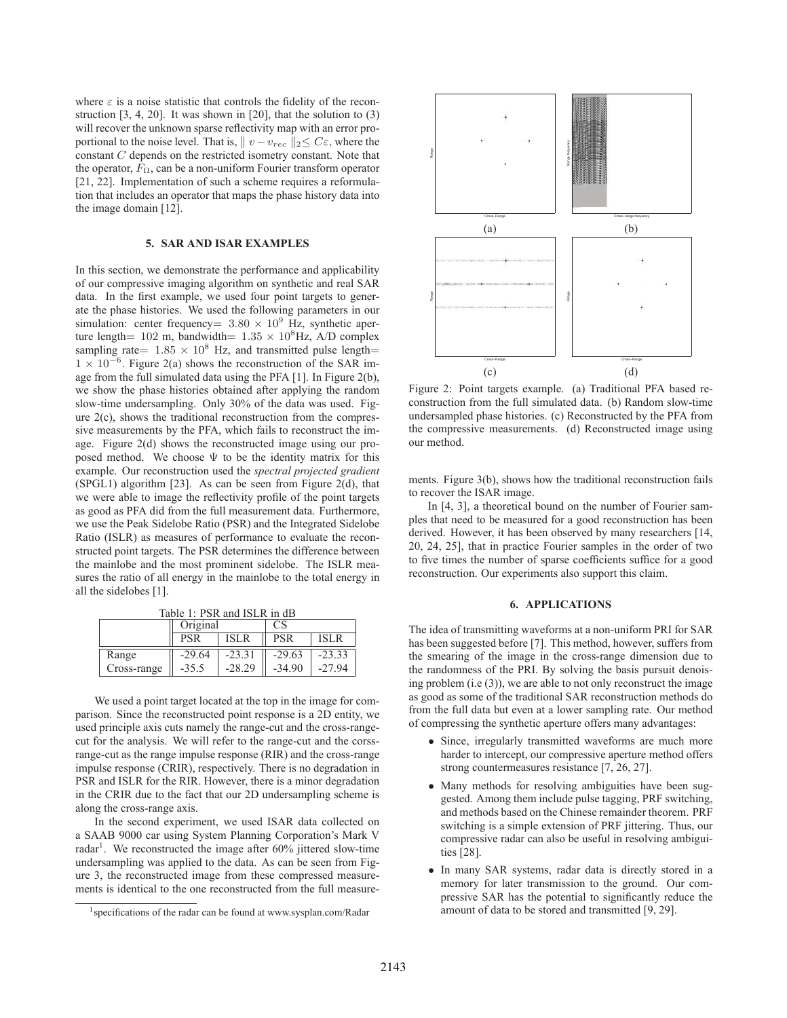where  $\varepsilon$  is a noise statistic that controls the fidelity of the reconstruction [3, 4, 20]. It was shown in [20], that the solution to (3) will recover the unknown sparse reflectivity map with an error proportional to the noise level. That is,  $|| v - v_{rec} ||_2 \leq C \varepsilon$ , where the constant C depends on the restricted isometry constant. Note that the operator,  $F_{\Omega}$ , can be a non-uniform Fourier transform operator [21, 22]. Implementation of such a scheme requires a reformulation that includes an operator that maps the phase history data into the image domain [12].

#### **5. SAR AND ISAR EXAMPLES**

In this section, we demonstrate the performance and applicability of our compressive imaging algorithm on synthetic and real SAR data. In the first example, we used four point targets to generate the phase histories. We used the following parameters in our simulation: center frequency=  $3.80 \times 10^9$  Hz, synthetic aperture length= 102 m, bandwidth=  $1.35 \times 10^8$ Hz, A/D complex sampling rate=  $1.85 \times 10^8$  Hz, and transmitted pulse length=  $1 \times 10^{-6}$ . Figure 2(a) shows the reconstruction of the SAR image from the full simulated data using the PFA [1]. In Figure 2(b), we show the phase histories obtained after applying the random slow-time undersampling. Only 30% of the data was used. Figure  $2(c)$ , shows the traditional reconstruction from the compressive measurements by the PFA, which fails to reconstruct the image. Figure 2(d) shows the reconstructed image using our proposed method. We choose  $\Psi$  to be the identity matrix for this example. Our reconstruction used the *spectral projected gradient*  $(SPGL1)$  algorithm [23]. As can be seen from Figure 2(d), that we were able to image the reflectivity profile of the point targets as good as PFA did from the full measurement data. Furthermore, we use the Peak Sidelobe Ratio (PSR) and the Integrated Sidelobe Ratio (ISLR) as measures of performance to evaluate the reconstructed point targets. The PSR determines the difference between the mainlobe and the most prominent sidelobe. The ISLR measures the ratio of all energy in the mainlobe to the total energy in all the sidelobes [1].

|             | Table 1. I BR and IBLIX In GD<br>Original |          | CS.        |              |
|-------------|-------------------------------------------|----------|------------|--------------|
|             | PSR                                       | ISLR     | <b>PSR</b> | <b>ISLR</b>  |
| Range       | $-29.64$                                  | $-23.31$ | $-29.63$   | $-23.33$     |
| Cross-range | $-35.5$                                   | $-28.29$ | -34 90     | $Q_{\Delta}$ |

Table  $1: PSR$  and ISLR in  $\overline{dR}$ 

We used a point target located at the top in the image for comparison. Since the reconstructed point response is a 2D entity, we used principle axis cuts namely the range-cut and the cross-rangecut for the analysis. We will refer to the range-cut and the corssrange-cut as the range impulse response (RIR) and the cross-range impulse response (CRIR), respectively. There is no degradation in PSR and ISLR for the RIR. However, there is a minor degradation in the CRIR due to the fact that our 2D undersampling scheme is along the cross-range axis.

In the second experiment, we used ISAR data collected on a SAAB 9000 car using System Planning Corporation's Mark V radar<sup>1</sup>. We reconstructed the image after 60% jittered slow-time undersampling was applied to the data. As can be seen from Figure 3, the reconstructed image from these compressed measurements is identical to the one reconstructed from the full measure-



Figure 2: Point targets example. (a) Traditional PFA based reconstruction from the full simulated data. (b) Random slow-time undersampled phase histories. (c) Reconstructed by the PFA from the compressive measurements. (d) Reconstructed image using our method.

ments. Figure 3(b), shows how the traditional reconstruction fails to recover the ISAR image.

In [4, 3], a theoretical bound on the number of Fourier samples that need to be measured for a good reconstruction has been derived. However, it has been observed by many researchers [14, 20, 24, 25], that in practice Fourier samples in the order of two to five times the number of sparse coefficients suffice for a good reconstruction. Our experiments also support this claim.

#### **6. APPLICATIONS**

The idea of transmitting waveforms at a non-uniform PRI for SAR has been suggested before [7]. This method, however, suffers from the smearing of the image in the cross-range dimension due to the randomness of the PRI. By solving the basis pursuit denoising problem (i.e (3)), we are able to not only reconstruct the image as good as some of the traditional SAR reconstruction methods do from the full data but even at a lower sampling rate. Our method of compressing the synthetic aperture offers many advantages:

- Since, irregularly transmitted waveforms are much more harder to intercept, our compressive aperture method offers strong countermeasures resistance [7, 26, 27].
- Many methods for resolving ambiguities have been suggested. Among them include pulse tagging, PRF switching, and methods based on the Chinese remainder theorem. PRF switching is a simple extension of PRF jittering. Thus, our compressive radar can also be useful in resolving ambiguities [28].
- In many SAR systems, radar data is directly stored in a memory for later transmission to the ground. Our compressive SAR has the potential to significantly reduce the amount of data to be stored and transmitted [9, 29].

<sup>1</sup>specifications of the radar can be found at www.sysplan.com/Radar